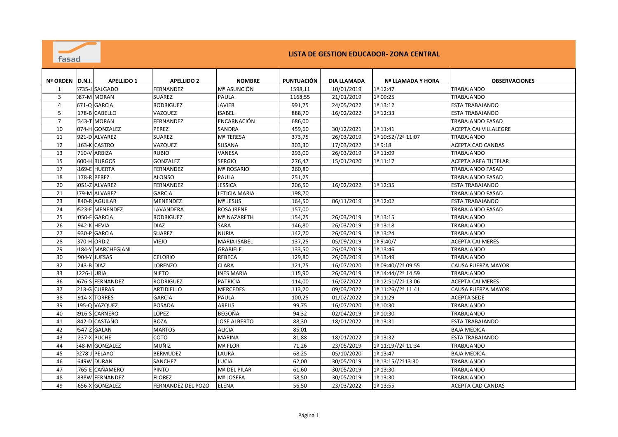| Nº ORDEN       | ID.N.I.     | <b>APELLIDO 1</b>     | <b>APELLIDO 2</b>  | <b>NOMBRE</b>       | <b>PUNTUACIÓN</b> | DIA LLAMADA | <b>Nº LLAMADA Y HORA</b> | <b>OBSERVACIONES</b>         |
|----------------|-------------|-----------------------|--------------------|---------------------|-------------------|-------------|--------------------------|------------------------------|
| $\mathbf{1}$   |             | 5735-J SALGADO        | <b>FERNANDEZ</b>   | Mª ASUNCIÓN         | 1598,11           | 10/01/2019  | 1ª 12:47                 | <b>TRABAJANDO</b>            |
| 3              |             | 087-M MORAN           | <b>SUAREZ</b>      | <b>PAULA</b>        | 1168,55           | 21/01/2019  | 1ª 09:25                 | <b>TRABAJANDO</b>            |
| $\overline{4}$ |             | 671-Q GARCIA          | <b>RODRIGUEZ</b>   | <b>JAVIER</b>       | 991,75            | 24/05/2022  | 1ª 13:12                 | <b>ESTA TRABAJANDO</b>       |
| 5              |             | 178-B CABELLO         | VAZQUEZ            | <b>ISABEL</b>       | 888,70            | 16/02/2022  | 1ª 12:33                 | <b>ESTA TRABAJANDO</b>       |
| $\overline{7}$ |             | 343-T MORAN           | <b>FERNANDEZ</b>   | ENCARNACIÓN         | 686,00            |             |                          | <b>TRABAJANDO FASAD</b>      |
| 10             |             | 074-H GONZALEZ        | PEREZ              | <b>SANDRA</b>       | 459,60            | 30/12/2021  | 1ª 11:41                 | <b>ACEPTA CAI VILLALEGRE</b> |
| 11             |             | 921-D ALVAREZ         | <b>SUAREZ</b>      | Mª TERESA           | 373,75            | 26/03/2019  | 1ª 10:52//2ª 11:07       | TRABAJANDO                   |
| 12             |             | 163-K CASTRO          | VAZQUEZ            | <b>SUSANA</b>       | 303,30            | 17/03/2022  | 1ª 9:18                  | <b>ACEPTA CAD CANDAS</b>     |
| 13             |             | 710-V ARBIZA          | <b>RUBIO</b>       | VANESA              | 293,00            | 26/03/2019  | 1ª 11:09                 | <b>TRABAJANDO</b>            |
| 15             |             | 600-H BURGOS          | <b>GONZALEZ</b>    | <b>SERGIO</b>       | 276,47            | 15/01/2020  | 1ª 11:17                 | <b>ACEPTA AREA TUTELAR</b>   |
| 17             |             | 169-E HUERTA          | FERNANDEZ          | Mª ROSARIO          | 260,80            |             |                          | <b>TRABAJANDO FASAD</b>      |
| 18             | 178-R PEREZ |                       | <b>ALONSO</b>      | <b>PAULA</b>        | 251,25            |             |                          | <b>TRABAJANDO FASAD</b>      |
| 20             |             | 051-Z ALVAREZ         | FERNANDEZ          | <b>JESSICA</b>      | 206,50            | 16/02/2022  | 1ª 12:35                 | <b>ESTA TRABAJANDO</b>       |
| 21             |             | 379-M ALVAREZ         | <b>GARCIA</b>      | LETICIA MARIA       | 198,70            |             |                          | TRABAJANDO FASAD             |
| 23             |             | 840-R AGUILAR         | MENENDEZ           | Mª JESUS            | 164,50            | 06/11/2019  | 1ª 12:02                 | <b>ESTA TRABAJANDO</b>       |
| 24             |             | 523-E MENENDEZ        | LAVANDERA          | <b>ROSA IRENE</b>   | 157,00            |             |                          | <b>TRABAJANDO FASAD</b>      |
| 25             |             | 050-F GARCIA          | <b>RODRIGUEZ</b>   | Mª NAZARETH         | 154,25            | 26/03/2019  | 1ª 13:15                 | <b>TRABAJANDO</b>            |
| 26             | 942-K HEVIA |                       | <b>DIAZ</b>        | <b>SARA</b>         | 146,80            | 26/03/2019  | 1ª 13:18                 | <b>TRABAJANDO</b>            |
| 27             |             | 930-P GARCIA          | <b>SUAREZ</b>      | <b>NURIA</b>        | 142,70            | 26/03/2019  | 1ª 13:24                 | <b>TRABAJANDO</b>            |
| 28             | 370-HORDIZ  |                       | VIEJO              | <b>MARIA ISABEL</b> | 137,25            | 05/09/2019  | 1ª 9:40//                | <b>ACEPTA CAI MERES</b>      |
| 29             |             | 184-Y MARCHEGIANI     |                    | <b>GRABIELE</b>     | 133,50            | 26/03/2019  | 1ª 13:46                 | TRABAJANDO                   |
| 30             |             | 904-Y JUESAS          | <b>CELORIO</b>     | <b>REBECA</b>       | 129,80            | 26/03/2019  | 1ª 13:49                 | <b>TRABAJANDO</b>            |
| 32             | 243-B DIAZ  |                       | LORENZO            | <b>CLARA</b>        | 121,75            | 16/07/2020  | 1ª 09:40//2ª 09:55       | CAUSA FUERZA MAYOR           |
| 33             | 1226-J URIA |                       | <b>NIETO</b>       | <b>INES MARIA</b>   | 115,90            | 26/03/2019  | 1ª 14:44//2ª 14:59       | <b>TRABAJANDO</b>            |
| 36             |             | 676-S FERNANDEZ       | <b>RODRIGUEZ</b>   | <b>PATRICIA</b>     | 114,00            | 16/02/2022  | 1ª 12:51//2ª 13:06       | <b>ACEPTA CAI MERES</b>      |
| 37             |             | 213-G CURRAS          | ARTIDIELLO         | <b>MERCEDES</b>     | 113,20            | 09/03/2022  | 1ª 11:26//2ª 11:41       | CAUSA FUERZA MAYOR           |
| 38             |             | 914-X TORRES          | <b>GARCIA</b>      | <b>PAULA</b>        | 100,25            | 01/02/2022  | 1ª 11:29                 | <b>ACEPTA SEDE</b>           |
| 39             |             | 195-Q VAZQUEZ         | <b>POSADA</b>      | <b>ARELIS</b>       | 99,75             | 16/07/2020  | 1ª 10:30                 | TRABAJANDO                   |
| 40             |             | 916-S CARNERO         | LOPEZ              | <b>BEGOÑA</b>       | 94,32             | 02/04/2019  | 1ª 10:30                 | <b>TRABAJANDO</b>            |
| 41             |             | 842-D CASTAÑO         | <b>BOZA</b>        | <b>JOSE ALBERTO</b> | 88,30             | 18/01/2022  | 1ª 13:31                 | <b>ESTA TRABAJANDO</b>       |
| 42             |             | 547-Z GALAN           | <b>MARTOS</b>      | <b>ALICIA</b>       | 85,01             |             |                          | <b>BAJA MEDICA</b>           |
| 43             |             | 237-X PUCHE           | COTO               | <b>MARINA</b>       | 81,88             | 18/01/2022  | 1ª 13:32                 | <b>ESTA TRABAJANDO</b>       |
| 44             |             | <b>548-M GONZALEZ</b> | MUÑIZ              | Mª FLOR             | 71,26             | 23/05/2019  | 1ª 11:19//2ª 11:34       | <b>TRABAJANDO</b>            |
| 45             |             | 9278-J PELAYO         | <b>BERMUDEZ</b>    | <b>LAURA</b>        | 68,25             | 05/10/2020  | 1ª 13:47                 | <b>BAJA MEDICA</b>           |
| 46             |             | 649W DURAN            | SANCHEZ            | <b>LUCIA</b>        | 62,00             | 30/05/2019  | 1ª 13:15//2ª13:30        | TRABAJANDO                   |
| 47             |             | 765-E CAÑAMERO        | <b>PINTO</b>       | Mª DEL PILAR        | 61,60             | 30/05/2019  | 1ª 13:30                 | TRABAJANDO                   |
| 48             |             | 838W FERNANDEZ        | <b>FLOREZ</b>      | Mª JOSEFA           | 58,50             | 30/05/2019  | 1ª 13:30                 | <b>TRABAJANDO</b>            |
| 49             |             | 656-X GONZALEZ        | FERNANDEZ DEL POZO | <b>ELENA</b>        | 56,50             | 23/03/2022  | 1ª 13:55                 | <b>ACEPTA CAD CANDAS</b>     |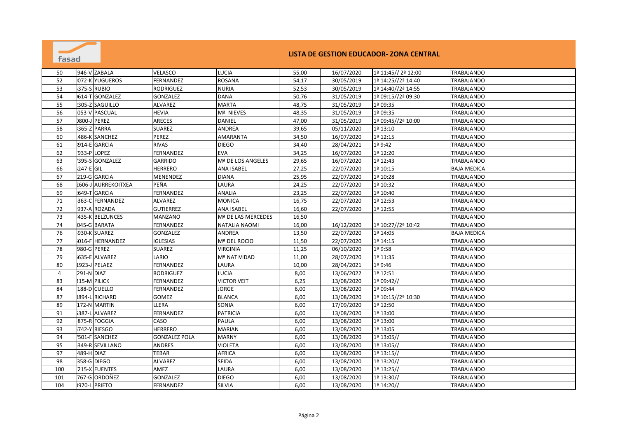

| 50             | 946-V ZABALA            | <b>VELASCO</b>       | <b>LUCIA</b>         | 55,00 | 16/07/2020 | 1ª 11:45// 2ª 12:00   | TRABAJANDO         |
|----------------|-------------------------|----------------------|----------------------|-------|------------|-----------------------|--------------------|
| 52             | 072-K YUGUEROS          | FERNANDEZ            | <b>ROSANA</b>        | 54,17 | 30/05/2019 | 1ª 14:25//2ª 14:40    | <b>TRABAJANDO</b>  |
| 53             | 375-S RUBIO             | <b>RODRIGUEZ</b>     | <b>NURIA</b>         | 52,53 | 30/05/2019 | 1ª 14:40//2ª 14:55    | TRABAJANDO         |
| 54             | 614-T GONZALEZ          | GONZALEZ             | <b>DANA</b>          | 50,76 | 31/05/2019 | 1ª 09:15//2ª 09:30    | TRABAJANDO         |
| 55             | 305-Z SAGUILLO          | ALVAREZ              | <b>MARTA</b>         | 48,75 | 31/05/2019 | 1ª 09:35              | TRABAJANDO         |
| 56             | 053-V PASCUAL           | <b>HEVIA</b>         | Mª NIEVES            | 48,35 | 31/05/2019 | 1ª 09:35              | TRABAJANDO         |
| 57             | <b>0800-J PEREZ</b>     | <b>ARECES</b>        | DANIEL               | 47,00 | 31/05/2019 | 1ª 09:45//2ª 10:00    | TRABAJANDO         |
| 58             | 365-Z PARRA             | <b>SUAREZ</b>        | ANDREA               | 39,65 | 05/11/2020 | 1ª 13:10              | TRABAJANDO         |
| 60             | 486-K SANCHEZ           | PEREZ                | AMARANTA             | 34,50 | 16/07/2020 | 1ª 12:15              | TRABAJANDO         |
| 61             | 914-E GARCIA            | <b>RIVAS</b>         | <b>DIEGO</b>         | 34,40 | 28/04/2021 | $1a$ 9:42             | TRABAJANDO         |
| 62             | 933-P LOPEZ             | <b>FERNANDEZ</b>     | <b>EVA</b>           | 34,25 | 16/07/2020 | 1ª 12:20              | TRABAJANDO         |
| 63             | 395-S GONZALEZ          | <b>GARRIDO</b>       | Mª DE LOS ANGELES    | 29,65 | 16/07/2020 | 1ª 12:43              | TRABAJANDO         |
| 66             | 247-E GIL               | <b>HERRERO</b>       | ANA ISABEL           | 27,25 | 22/07/2020 | 1ª 10:15              | <b>BAJA MEDICA</b> |
| 67             | 219-G GARCIA            | MENENDEZ             | <b>DIANA</b>         | 25,95 | 22/07/2020 | 1ª 10:28              | TRABAJANDO         |
| 68             | 2606-J AURREKOITXEA     | PEÑA                 | LAURA                | 24,25 | 22/07/2020 | 1ª 10:32              | TRABAJANDO         |
| 69             | 649-T GARCIA            | FERNANDEZ            | ANALIA               | 23,25 | 22/07/2020 | 1ª 10:40              | TRABAJANDO         |
| 71             | 363-C FERNANDEZ         | ALVAREZ              | MONICA               | 16,75 | 22/07/2020 | 1ª 12:53              | TRABAJANDO         |
| 72             | 937-A ROZADA            | <b>GUTIERREZ</b>     | <b>ANA ISABEL</b>    | 16,60 | 22/07/2020 | 1ª 12:55              | TRABAJANDO         |
| 73             | 435-K BELZUNCES         | MANZANO              | Mª DE LAS MERCEDES   | 16,50 |            |                       | TRABAJANDO         |
| 74             | 045-G BARATA            | <b>FERNANDEZ</b>     | <b>NATALIA NAOMI</b> | 16,00 | 16/12/2020 | 1ª 10:27//2ª 10:42    | TRABAJANDO         |
| 76             | 930-K SUAREZ            | <b>GONZALEZ</b>      | ANDREA               | 13,50 | 22/07/2020 | 1ª 14:05              | <b>BAJA MEDICA</b> |
| 77             | 016-F HERNANDEZ         | <b>IGLESIAS</b>      | Mª DEL ROCIO         | 11,50 | 22/07/2020 | 1ª 14:15              | TRABAJANDO         |
| 78             | 980-G PEREZ             | <b>SUAREZ</b>        | <b>VIRGINIA</b>      | 11,25 | 06/10/2020 | 1ª 9:58               | <b>TRABAJANDO</b>  |
| 79             | <b>ALVAREZ</b><br>635-E | LARIO                | Mª NATIVIDAD         | 11,00 | 28/07/2020 | 1ª 11:35              | TRABAJANDO         |
| 80             | 1923-J PELAEZ           | FERNANDEZ            | LAURA                | 10,00 | 28/04/2021 | 1ª 9:46               | TRABAJANDO         |
| $\overline{4}$ | 291-N DIAZ              | <b>RODRIGUEZ</b>     | LUCIA                | 8,00  | 13/06/2022 | 1ª 12:51              | TRABAJANDO         |
| 83             | <b>315-M PILICK</b>     | FERNANDEZ            | <b>VICTOR VEIT</b>   | 6,25  | 13/08/2020 | 1ª 09:42//            | TRABAJANDO         |
| 84             | 188-D CUELLO            | FERNANDEZ            | JORGE                | 6,00  | 13/08/2020 | 1ª 09:44              | TRABAJANDO         |
| 87             | 0894-L RICHARD          | GOMEZ                | <b>BLANCA</b>        | 6,00  | 13/08/2020 | 1ª 10:15//2ª 10:30    | TRABAJANDO         |
| 89             | 172-N MARTIN            | LLERA                | SONIA                | 6,00  | 17/09/2020 | 1ª 12:50              | TRABAJANDO         |
| 91             | 387-L ALVAREZ           | FERNANDEZ            | <b>PATRICIA</b>      | 6,00  | 13/08/2020 | 1ª 13:00              | TRABAJANDO         |
| 92             | 875-R FOGGIA            | CASO                 | <b>PAULA</b>         | 6,00  | 13/08/2020 | 1ª 13:00              | TRABAJANDO         |
| 93             | 742-Y RIESGO            | <b>HERRERO</b>       | <b>MARIAN</b>        | 6,00  | 13/08/2020 | 1ª 13:05              | TRABAJANDO         |
| 94             | 501-F SANCHEZ           | <b>GONZALEZ POLA</b> | <b>MARNY</b>         | 6,00  | 13/08/2020 | 1ª 13:05//            | TRABAJANDO         |
| 95             | 349-R SEVILLANO         | <b>ANDRES</b>        | VIOLETA              | 6,00  | 13/08/2020 | 1ª 13:05//            | TRABAJANDO         |
| 97             | 489-H DIAZ              | TEBAR                | <b>AFRICA</b>        | 6,00  | 13/08/2020 | $12 13:15$ //         | TRABAJANDO         |
| 98             | 358-G DIEGO             | <b>ALVAREZ</b>       | <b>SEIDA</b>         | 6,00  | 13/08/2020 | 1ª 13:20//            | TRABAJANDO         |
| 100            | 215-X FUENTES           | AMEZ                 | LAURA                | 6,00  | 13/08/2020 | 1 <sup>a</sup> 13:25/ | TRABAJANDO         |
| 101            | 767-G ORDOÑEZ           | <b>GONZALEZ</b>      | <b>DIEGO</b>         | 6,00  | 13/08/2020 | 1ª 13:30//            | TRABAJANDO         |
| 104            | <b>8970-L PRIETO</b>    | FERNANDEZ            | SILVIA               | 6,00  | 13/08/2020 | $1a 14:20$ //         | TRABAJANDO         |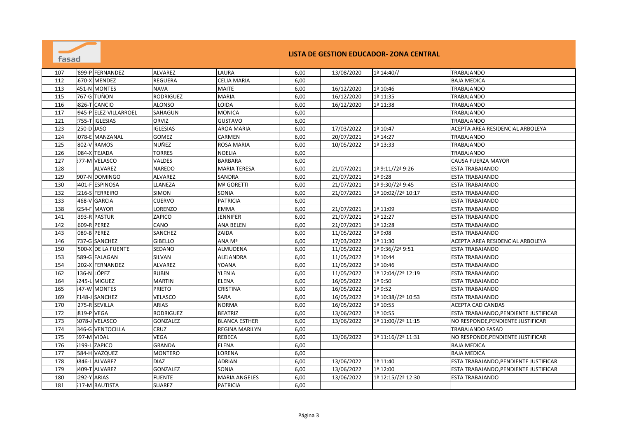

| 107 | 899-P FERNANDEZ         | <b>ALVAREZ</b>   | LAURA                 | 6,00 | 13/08/2020 | 1 <sup>a</sup> 14:40/ | TRABAJANDO                            |
|-----|-------------------------|------------------|-----------------------|------|------------|-----------------------|---------------------------------------|
| 112 | 670-X MENDEZ            | <b>REGUERA</b>   | <b>CELIA MARIA</b>    | 6,00 |            |                       | <b>BAJA MEDICA</b>                    |
| 113 | 451-N MONTES            | <b>NAVA</b>      | <b>MAITE</b>          | 6,00 | 16/12/2020 | 1ª 10:46              | TRABAJANDO                            |
| 115 | 767-G TUÑON             | <b>RODRIGUEZ</b> | <b>MARIA</b>          | 6,00 | 16/12/2020 | 1ª 11:35              | TRABAJANDO                            |
| 116 | 826-T CANCIO            | <b>ALONSO</b>    | LOIDA                 | 6,00 | 16/12/2020 | 1ª 11:38              | <b>TRABAJANDO</b>                     |
| 117 | 945-P ELEZ-VILLARROEL   | SAHAGUN          | <b>MONICA</b>         | 6,00 |            |                       | TRABAJANDO                            |
| 121 | 755-T IGLESIAS          | ORVIZ            | <b>GUSTAVO</b>        | 6,00 |            |                       | TRABAJANDO                            |
| 123 | 250-D JASO              | <b>IGLESIAS</b>  | <b>AROA MARIA</b>     | 6,00 | 17/03/2022 | 1ª 10:47              | ACEPTA AREA RESIDENCIAL ARBOLEYA      |
| 124 | 078-E MANZANAL          | <b>GOMEZ</b>     | CARMEN                | 6,00 | 20/07/2021 | 1ª 14:27              | TRABAJANDO                            |
| 125 | 802-V RAMOS             | <b>NUÑEZ</b>     | <b>ROSA MARIA</b>     | 6,00 | 10/05/2022 | 1ª 13:33              | TRABAJANDO                            |
| 126 | 084-X TEJADA            | <b>TORRES</b>    | <b>NOELIA</b>         | 6,00 |            |                       | TRABAJANDO                            |
| 127 | 577-M VELASCO           | VALDES           | <b>BARBARA</b>        | 6,00 |            |                       | CAUSA FUERZA MAYOR                    |
| 128 | ALVAREZ                 | <b>NAREDO</b>    | <b>MARIA TERESA</b>   | 6,00 | 21/07/2021 | 1ª 9:11//2ª 9:26      | ESTA TRABAJANDO                       |
| 129 | 907-N DOMINGO           | <b>ALVAREZ</b>   | SANDRA                | 6,00 | 21/07/2021 | 1ª 9:28               | <b>ESTA TRABAJANDO</b>                |
| 130 | 401-F ESPINOSA          | LLANEZA          | Mª GORETTI            | 6,00 | 21/07/2021 | 1ª 9:30//2ª 9:45      | <b>ESTA TRABAJANDO</b>                |
| 132 | 216-S FERREIRO          | <b>SIMON</b>     | SONIA                 | 6,00 | 21/07/2021 | 1ª 10:02//2ª 10:17    | ESTA TRABAJANDO                       |
| 133 | 468-V GARCIA            | <b>CUERVO</b>    | <b>PATRICIA</b>       | 6,00 |            |                       | <b>ESTA TRABAJANDO</b>                |
| 138 | 254-F MAYOR             | LORENZO          | <b>EMMA</b>           | 6,00 | 21/07/2021 | 1ª 11:09              | ESTA TRABAJANDO                       |
| 141 | 393-R PASTUR            | ZAPICO           | <b>JENNIFER</b>       | 6,00 | 21/07/2021 | 1ª 12:27              | ESTA TRABAJANDO                       |
| 142 | 609-R PEREZ             | CANO             | ANA BELEN             | 6,00 | 21/07/2021 | 1ª 12:28              | ESTA TRABAJANDO                       |
| 143 | 089-B PEREZ             | <b>SANCHEZ</b>   | ZAIDA                 | 6,00 | 11/05/2022 | 1ª 9:08               | <b>ESTA TRABAJANDO</b>                |
| 146 | 737-G SANCHEZ           | <b>GIBELLO</b>   | ANA Mª                | 6,00 | 17/03/2022 | 1ª 11:30              | ACEPTA AREA RESIDENCIAL ARBOLEYA      |
| 150 | 500-X DE LA FUENTE      | <b>SEDANO</b>    | <b>ALMUDENA</b>       | 6,00 | 11/05/2022 | 1ª 9:36//2ª 9:51      | <b>ESTA TRABAJANDO</b>                |
| 153 | 589-G FALAGAN           | SILVAN           | <b>ALEJANDRA</b>      | 6,00 | 11/05/2022 | 1ª 10:44              | <b>ESTA TRABAJANDO</b>                |
| 154 | 202-X FERNANDEZ         | <b>ALVAREZ</b>   | YOANA                 | 6,00 | 11/05/2022 | 1ª 10:46              | ESTA TRABAJANDO                       |
| 162 | 136-N LÓPEZ             | <b>RUBIN</b>     | YLENIA                | 6,00 | 11/05/2022 | 1ª 12:04//2ª 12:19    | ESTA TRABAJANDO                       |
| 164 | 245-L MIGUEZ            | <b>MARTIN</b>    | <b>ELENA</b>          | 6,00 | 16/05/2022 | 1ª 9:50               | <b>ESTA TRABAJANDO</b>                |
| 165 | 647-W MONTES            | <b>PRIETO</b>    | <b>CRISTINA</b>       | 6,00 | 16/05/2022 | 1ª 9:52               | <b>ESTA TRABAJANDO</b>                |
| 169 | 7148-J SANCHEZ          | VELASCO          | <b>SARA</b>           | 6,00 | 16/05/2022 | 1ª 10:38//2ª 10:53    | <b>ESTA TRABAJANDO</b>                |
| 170 | 275-R SEVILLA           | <b>ARIAS</b>     | <b>NORMA</b>          | 6,00 | 16/05/2022 | 1ª 10:55              | ACEPTA CAD CANDAS                     |
| 172 | 819-P VEGA              | RODRIGUEZ        | <b>BEATRIZ</b>        | 6,00 | 13/06/2022 | 1ª 10:55              | ESTA TRABAJANDO, PENDIENTE JUSTIFICAR |
| 173 | 5078-J VELASCO          | <b>GONZALEZ</b>  | <b>BLANCA ESTHER</b>  | 6,00 | 13/06/2022 | 1ª 11:00//2ª 11:15    | NO RESPONDE, PENDIENTE JUSTIFICAR     |
| 174 | 346-G VENTOCILLA        | CRUZ             | <b>REGINA MARILYN</b> | 6,00 |            |                       | TRABAJANDO FASAD                      |
| 175 | 597-M VIDAL             | <b>VEGA</b>      | <b>REBECA</b>         | 6,00 | 13/06/2022 | 1ª 11:16//2ª 11:31    | NO RESPONDE, PENDIENTE JUSTIFICAR     |
| 176 | ZAPICO<br>5199-L        | <b>GRANDA</b>    | <b>ELENA</b>          | 6,00 |            |                       | <b>BAJA MEDICA</b>                    |
| 177 | 584-H<br><b>VAZQUEZ</b> | <b>MONTERO</b>   | LORENA                | 6,00 |            |                       | <b>BAJA MEDICA</b>                    |
| 178 | 846-L ALVAREZ           | <b>DIAZ</b>      | <b>ADRIAN</b>         | 6,00 | 13/06/2022 | 1ª 11:40              | ESTA TRABAJANDO, PENDIENTE JUSTIFICAR |
| 179 | 409-T ALVAREZ           | <b>GONZALEZ</b>  | SONIA                 | 6,00 | 13/06/2022 | 1ª 12:00              | ESTA TRABAJANDO, PENDIENTE JUSTIFICAR |
| 180 | <b>292-Y ARIAS</b>      | <b>FUENTE</b>    | <b>MARIA ANGELES</b>  | 6,00 | 13/06/2022 | 1ª 12:15//2ª 12:30    | <b>ESTA TRABAJANDO</b>                |
| 181 | 517-M BAUTISTA          | <b>SUAREZ</b>    | <b>PATRICIA</b>       | 6,00 |            |                       |                                       |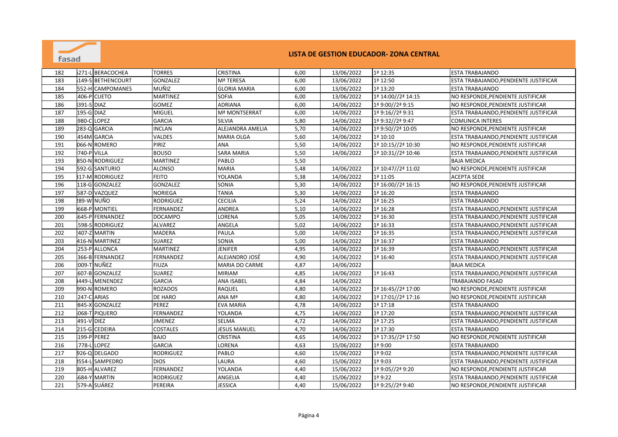

| 182 |            | 271-L BERACOCHEA  | <b>TORRES</b>    | <b>CRISTINA</b>     | 6,00 | 13/06/2022 | 1ª 12:35           | <b>ESTA TRABAJANDO</b>                |
|-----|------------|-------------------|------------------|---------------------|------|------------|--------------------|---------------------------------------|
| 183 |            | 149-S BETHENCOURT | <b>GONZALEZ</b>  | Mª TERESA           | 6,00 | 13/06/2022 | 1ª 12:50           | ESTA TRABAJANDO, PENDIENTE JUSTIFICAR |
| 184 |            | 552-H CAMPOMANES  | MUÑIZ            | <b>GLORIA MARIA</b> | 6,00 | 13/06/2022 | 1ª 13:20           | <b>ESTA TRABAJANDO</b>                |
| 185 |            | 406-P CUETO       | <b>MARTINEZ</b>  | <b>SOFIA</b>        | 6,00 | 13/06/2022 | 1ª 14:00//2ª 14:15 | NO RESPONDE, PENDIENTE JUSTIFICAR     |
| 186 | 391-S DIAZ |                   | GOMEZ            | <b>ADRIANA</b>      | 6,00 | 14/06/2022 | 1ª 9:00//2ª 9:15   | NO RESPONDE, PENDIENTE JUSTIFICAR     |
| 187 | 195-G DIAZ |                   | <b>MIGUEL</b>    | Mª MONTSERRAT       | 6,00 | 14/06/2022 | 1ª 9:16//2ª 9:31   | ESTA TRABAJANDO, PENDIENTE JUSTIFICAR |
| 188 |            | 980-C LOPEZ       | <b>GARCIA</b>    | <b>SILVIA</b>       | 5,80 | 14/06/2022 | 1ª 9:32//2ª 9:47   | <b>COMUNICA INTERES</b>               |
| 189 |            | 283-Q GARCIA      | <b>INCLAN</b>    | ALEJANDRA AMELIA    | 5,70 | 14/06/2022 | 1ª 9:50//2ª 10:05  | NO RESPONDE, PENDIENTE JUSTIFICAR     |
| 190 |            | 454M GARCIA       | <b>VALDES</b>    | <b>MARIA OLGA</b>   | 5,60 | 14/06/2022 | 1ª 10:10           | ESTA TRABAJANDO, PENDIENTE JUSTIFICAR |
| 191 |            | 066-N ROMERO      | PIRIZ            | <b>ANA</b>          | 5,50 | 14/06/2022 | 1ª 10:15//2ª 10:30 | NO RESPONDE, PENDIENTE JUSTIFICAR     |
| 192 |            | 740-P VILLA       | <b>BOUSO</b>     | <b>SARA MARIA</b>   | 5,50 | 14/06/2022 | 1ª 10:31//2ª 10:46 | ESTA TRABAJANDO, PENDIENTE JUSTIFICAR |
| 193 |            | 850-N RODRIGUEZ   | <b>MARTINEZ</b>  | <b>PABLO</b>        | 5,50 |            |                    | <b>BAJA MEDICA</b>                    |
| 194 |            | 592-G SANTURIO    | <b>ALONSO</b>    | <b>MARIA</b>        | 5,48 | 14/06/2022 | 1ª 10:47//2ª 11:02 | NO RESPONDE, PENDIENTE JUSTIFICAR     |
| 195 |            | 317-M RODRIGUEZ   | <b>FEITO</b>     | YOLANDA             | 5,38 | 14/06/2022 | 1ª 11:05           | <b>ACEPTA SEDE</b>                    |
| 196 |            | 118-G GONZALEZ    | <b>GONZALEZ</b>  | SONIA               | 5,30 | 14/06/2022 | 1ª 16:00//2ª 16:15 | NO RESPONDE, PENDIENTE JUSTIFICAR     |
| 197 |            | 587-D VAZQUEZ     | <b>NORIEGA</b>   | <b>TANIA</b>        | 5,30 | 14/06/2022 | 1ª 16:20           | <b>ESTA TRABAJANDO</b>                |
| 198 |            | 289-W NUÑO        | RODRIGUEZ        | <b>CECILIA</b>      | 5,24 | 14/06/2022 | 1ª 16:25           | <b>ESTA TRABAJANDO</b>                |
| 199 |            | 668-P MONTIEL     | FERNANDEZ        | ANDREA              | 5,10 | 14/06/2022 | 1ª 16:28           | ESTA TRABAJANDO, PENDIENTE JUSTIFICAR |
| 200 |            | 645-P FERNANDEZ   | <b>DOCAMPO</b>   | LORENA              | 5,05 | 14/06/2022 | 1ª 16:30           | ESTA TRABAJANDO, PENDIENTE JUSTIFICAR |
| 201 |            | 598-S RODRIGUEZ   | <b>ALVAREZ</b>   | ANGELA              | 5,02 | 14/06/2022 | 1ª 16:33           | ESTA TRABAJANDO, PENDIENTE JUSTIFICAR |
| 202 |            | 407-Z MARTIN      | <b>MADERA</b>    | <b>PAULA</b>        | 5,00 | 14/06/2022 | 1ª 16:35           | ESTA TRABAJANDO, PENDIENTE JUSTIFICAR |
| 203 |            | 416-N MARTINEZ    | <b>SUAREZ</b>    | SONIA               | 5,00 | 14/06/2022 | 1ª 16:37           | <b>ESTA TRABAJANDO</b>                |
| 204 |            | 253-PLALLONCA     | <b>MARTINEZ</b>  | <b>JENIFER</b>      | 4,95 | 14/06/2022 | 1ª 16:39           | ESTA TRABAJANDO, PENDIENTE JUSTIFICAR |
| 205 |            | 366-BIFERNANDEZ   | FERNANDEZ        | ALEJANDRO JOSÉ      | 4,90 | 14/06/2022 | 1ª 16:40           | ESTA TRABAJANDO, PENDIENTE JUSTIFICAR |
| 206 |            | :009-T NUÑEZ      | <b>FIUZA</b>     | MARIA DO CARME      | 4,87 | 14/06/2022 |                    | <b>BAJA MEDICA</b>                    |
| 207 |            | 607-B GONZALEZ    | <b>SUAREZ</b>    | <b>MIRIAM</b>       | 4,85 | 14/06/2022 | 1ª 16:43           | ESTA TRABAJANDO, PENDIENTE JUSTIFICAR |
| 208 |            | I449-L MENENDEZ   | <b>GARCIA</b>    | <b>ANA ISABEL</b>   | 4,84 | 14/06/2022 |                    | <b>TRABAJANDO FASAD</b>               |
| 209 |            | 990-N ROMERO      | <b>ROZADOS</b>   | RAQUEL              | 4,80 | 14/06/2022 | 1ª 16:45//2ª 17:00 | NO RESPONDE, PENDIENTE JUSTIFICAR     |
| 210 |            | 247-C ARIAS       | DE HARO          | ANA Mª              | 4,80 | 14/06/2022 | 1ª 17:01//2ª 17:16 | NO RESPONDE, PENDIENTE JUSTIFICAR     |
| 211 |            | 845-X GONZALEZ    | PEREZ            | <b>EVA MARIA</b>    | 4,78 | 14/06/2022 | 1ª 17:18           | <b>ESTA TRABAJANDO</b>                |
| 212 |            | 068-T PIQUERO     | FERNANDEZ        | YOLANDA             | 4,75 | 14/06/2022 | 1ª 17:20           | ESTA TRABAJANDO, PENDIENTE JUSTIFICAR |
| 213 | 491-V DIEZ |                   | JIMENEZ          | <b>SELMA</b>        | 4,72 | 14/06/2022 | 1ª 17:25           | ESTA TRABAJANDO, PENDIENTE JUSTIFICAR |
| 214 |            | 215-G CEDEIRA     | <b>COSTALES</b>  | <b>JESUS MANUEL</b> | 4,70 | 14/06/2022 | 1ª 17:30           | <b>ESTA TRABAJANDO</b>                |
| 215 |            | 199-P PEREZ       | <b>BAJO</b>      | <b>CRISTINA</b>     | 4,65 | 14/06/2022 | 1ª 17:35//2ª 17:50 | NO RESPONDE, PENDIENTE JUSTIFICAR     |
| 216 |            | 778-L LOPEZ       | <b>GARCIA</b>    | LORENA              | 4,63 | 15/06/2022 | 1ª 9:00            | <b>ESTA TRABAJANDO</b>                |
| 217 |            | 926-Q DELGADO     | <b>RODRIGUEZ</b> | PABLO               | 4,60 | 15/06/2022 | 1ª 9:02            | ESTA TRABAJANDO, PENDIENTE JUSTIFICAR |
| 218 | )554-L     | SAMPEDRO          | <b>DIOS</b>      | LAURA               | 4,60 | 15/06/2022 | 1ª 9:03            | ESTA TRABAJANDO, PENDIENTE JUSTIFICAR |
| 219 |            | 805-H ALVAREZ     | FERNANDEZ        | YOLANDA             | 4,40 | 15/06/2022 | 1ª 9:05//2ª 9:20   | NO RESPONDE, PENDIENTE JUSTIFICAR     |
| 220 |            | 684-Y MARTIN      | RODRIGUEZ        | ANGELIA             | 4,40 | 15/06/2022 | 1ª 9:22            | ESTA TRABAJANDO, PENDIENTE JUSTIFICAR |
|     |            |                   |                  |                     |      |            |                    |                                       |
| 221 |            | 579-A SUÁREZ      | PEREIRA          | JESSICA             | 4,40 | 15/06/2022 | 1ª 9:25//2ª 9:40   | NO RESPONDE, PENDIENTE JUSTIFICAR     |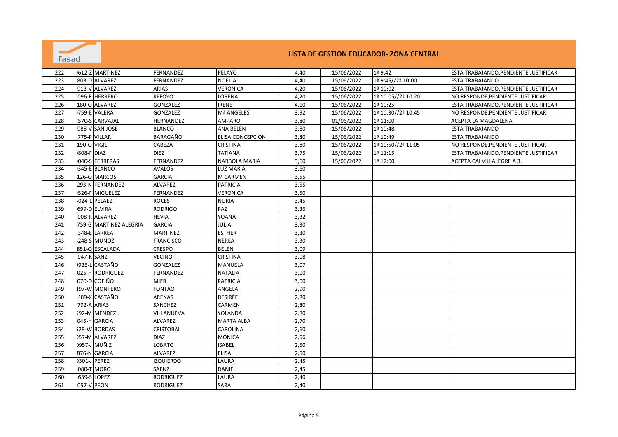

| 222 |             | 612-Z MARTINEZ         | FERNANDEZ        | PELAYO                  | 4,40 | 15/06/2022 | $1a$ 9:42            | ESTA TRABAJANDO, PENDIENTE JUSTIFICAR |
|-----|-------------|------------------------|------------------|-------------------------|------|------------|----------------------|---------------------------------------|
| 223 |             | 803-D ALVAREZ          | <b>FERNANDEZ</b> | <b>NOELIA</b>           | 4,40 | 15/06/2022 | 1ª 9:45//2ª 10:00    | <b>ESTA TRABAJANDO</b>                |
| 224 |             | 913-V ALVAREZ          | <b>ARIAS</b>     | <b>VERONICA</b>         | 4,20 | 15/06/2022 | 1ª 10:02             | ESTA TRABAJANDO, PENDIENTE JUSTIFICAR |
| 225 |             | 096-R HERRERO          | <b>REFOYO</b>    | LORENA                  | 4,20 | 15/06/2022 | 1ª 10:05//2ª 10:20   | NO RESPONDE, PENDIENTE JUSTIFICAR     |
| 226 |             | 180-Q ALVAREZ          | GONZALEZ         | <b>IRENE</b>            | 4,10 | 15/06/2022 | 1ª 10:25             | ESTA TRABAJANDO, PENDIENTE JUSTIFICAR |
| 227 |             | 759-E VALERA           | <b>GONZALEZ</b>  | Mª ANGELES              | 3,92 | 15/06/2022 | 1ª 10:30//2ª 10:45   | NO RESPONDE, PENDIENTE JUSTIFICAR     |
| 228 |             | <b>570-S CARVAJAL</b>  | HERNÁNDEZ        | <b>AMPARO</b>           | 3,80 | 01/06/2022 | 1ª 11:00             | ACEPTA LA MAGDALENA                   |
| 229 |             | 988-V SAN JOSE         | <b>BLANCO</b>    | <b>ANA BELEN</b>        | 3,80 | 15/06/2022 | 1ª 10:48             | <b>ESTA TRABAJANDO</b>                |
| 230 |             | 775-P VILLAR           | <b>BARAGAÑO</b>  | <b>ELISA CONCEPCION</b> | 3,80 | 15/06/2022 | 1ª 10:49             | <b>ESTA TRABAJANDO</b>                |
| 231 | 190-Q VIGIL |                        | CABEZA           | <b>CRISTINA</b>         | 3,80 | 15/06/2022 | 1ª 10:50//2ª 11:05   | NO RESPONDE, PENDIENTE JUSTIFICAR     |
| 232 | 808-F DIAZ  |                        | <b>DIEZ</b>      | TATIANA                 | 3,75 | 15/06/2022 | 1 <sup>a</sup> 11:15 | ESTA TRABAJANDO, PENDIENTE JUSTIFICAR |
| 233 |             | 040-S FERRERAS         | FERNANDEZ        | NARBOLA MARIA           | 3,60 | 15/06/2022 | 1ª 12:00             | ACEPTA CAI VILLALEGRE A 3.            |
| 234 |             | 345-E BLANCO           | <b>AVALOS</b>    | <b>LUZ MARIA</b>        | 3,60 |            |                      |                                       |
| 235 |             | 126-Q MARCOS           | <b>GARCIA</b>    | M CARMEN                | 3,55 |            |                      |                                       |
| 236 |             | 293-N FERNANDEZ        | ALVAREZ          | <b>PATRICIA</b>         | 3,55 |            |                      |                                       |
| 237 |             | 526-F MIGUELEZ         | FERNANDEZ        | <b>VERONICA</b>         | 3,50 |            |                      |                                       |
| 238 |             | 024-L PELAEZ           | <b>ROCES</b>     | <b>NURIA</b>            | 3,45 |            |                      |                                       |
| 239 |             | 699-D ELVIRA           | <b>RODRIGO</b>   | PAZ                     | 3,36 |            |                      |                                       |
| 240 |             | 008-R ALVAREZ          | <b>HEVIA</b>     | YOANA                   | 3,32 |            |                      |                                       |
| 241 |             | 759-G MARTINEZ ALEGRIA | <b>GARCIA</b>    | JULIA                   | 3,30 |            |                      |                                       |
| 242 |             | 348-E LARREA           | <b>MARTINEZ</b>  | <b>ESTHER</b>           | 3,30 |            |                      |                                       |
| 243 |             | 248-S MUÑOZ            | <b>FRANCISCO</b> | <b>NEREA</b>            | 3,30 |            |                      |                                       |
| 244 |             | 851-Q ESCALADA         | CRESPO           | <b>BELEN</b>            | 3,09 |            |                      |                                       |
| 245 | 947-K SANZ  |                        | <b>VECINO</b>    | <b>CRISTINA</b>         | 3,08 |            |                      |                                       |
| 246 |             | 0925-L CASTAÑO         | <b>GONZALEZ</b>  | MANUELA                 | 3,07 |            |                      |                                       |
| 247 |             | 025-H RODRIGUEZ        | FERNANDEZ        | <b>NATALIA</b>          | 3,00 |            |                      |                                       |
| 248 |             | 070-D COFIÑO           | <b>MIER</b>      | <b>PATRICIA</b>         | 3,00 |            |                      |                                       |
| 249 |             | <b>497-W MONTERO</b>   | <b>FONTAO</b>    | ANGELA                  | 2,90 |            |                      |                                       |
| 250 |             | 489-X CASTAÑO          | <b>ARENAS</b>    | <b>DESIRÉE</b>          | 2,80 |            |                      |                                       |
| 251 |             | 792-A ARIAS            | <b>SANCHEZ</b>   | CARMEN                  | 2,80 |            |                      |                                       |
| 252 |             | 592-M MENDEZ           | VILLANUEVA       | YOLANDA                 | 2,80 |            |                      |                                       |
| 253 |             | 045-H GARCIA           | <b>ALVAREZ</b>   | <b>MARTA ALBA</b>       | 2,70 |            |                      |                                       |
| 254 |             | 28-W BORDAS            | <b>CRISTOBAL</b> | <b>CAROLINA</b>         | 2,60 |            |                      |                                       |
| 255 |             | 057-M ALVAREZ          | <b>DIAZ</b>      | <b>MONICA</b>           | 2,56 |            |                      |                                       |
| 256 |             | <b>0957-J MUÑIZ</b>    | <b>LOBATO</b>    | <b>ISABEL</b>           | 2,50 |            |                      |                                       |
| 257 |             | 876-N GARCIA           | <b>ALVAREZ</b>   | <b>ELISA</b>            | 2,50 |            |                      |                                       |
| 258 |             | <b>9301-J PEREZ</b>    | <b>IZQUIERDO</b> | LAURA                   | 2,45 |            |                      |                                       |
| 259 |             | 080-T MORO             | SAENZ            | <b>DANIEL</b>           | 2,45 |            |                      |                                       |
| 260 |             | <b>1639-S LOPEZ</b>    | RODRIGUEZ        | LAURA                   | 2,40 |            |                      |                                       |
| 261 |             | 057-V PEON             | RODRIGUEZ        | SARA                    | 2,40 |            |                      |                                       |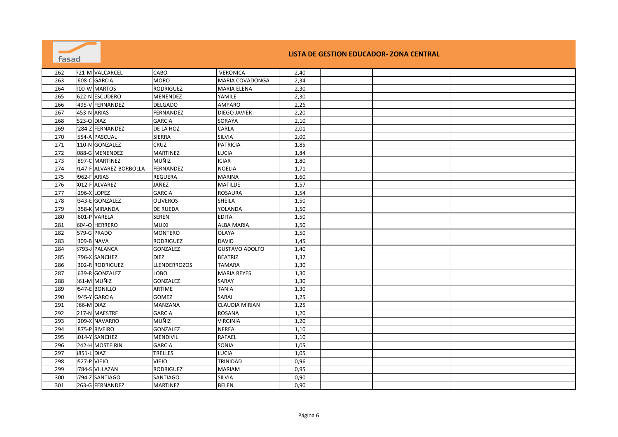| fasad |             |                        |                     |                       |      | LISTA DE GESTION EDUCADOR- ZONA CENTRAL |  |
|-------|-------------|------------------------|---------------------|-----------------------|------|-----------------------------------------|--|
| 262   |             | 721-M VALCARCEL        | <b>CABO</b>         | <b>VERONICA</b>       | 2,40 |                                         |  |
| 263   |             | 608-C GARCIA           | <b>MORO</b>         | MARIA COVADONGA       | 2,34 |                                         |  |
| 264   |             | 00-W MARTOS            | <b>RODRIGUEZ</b>    | <b>MARIA ELENA</b>    | 2,30 |                                         |  |
| 265   |             | 622-N ESCUDERO         | MENENDEZ            | YAMILE                | 2,30 |                                         |  |
| 266   |             | 495-V FERNANDEZ        | <b>DELGADO</b>      | AMPARO                | 2,26 |                                         |  |
| 267   |             | 453-N ARIAS            | <b>FERNANDEZ</b>    | DIEGO JAVIER          | 2,20 |                                         |  |
| 268   | 523-Q DIAZ  |                        | <b>GARCIA</b>       | SORAYA                | 2,10 |                                         |  |
| 269   |             | 284-Z FERNANDEZ        | DE LA HOZ           | CARLA                 | 2,01 |                                         |  |
| 270   |             | 554-A PASCUAL          | <b>SIERRA</b>       | <b>SILVIA</b>         | 2,00 |                                         |  |
| 271   |             | 110-N GONZALEZ         | CRUZ                | <b>PATRICIA</b>       | 1,85 |                                         |  |
| 272   |             | 088-G MENENDEZ         | <b>MARTINEZ</b>     | LUCIA                 | 1,84 |                                         |  |
| 273   |             | 897-C MARTINEZ         | MUÑIZ               | <b>ICIAR</b>          | 1,80 |                                         |  |
| 274   |             | 147-F ALVAREZ-BORBOLLA | FERNANDEZ           | <b>NOELIA</b>         | 1,71 |                                         |  |
| 275   |             | 962-F ARIAS            | <b>REGUERA</b>      | <b>MARINA</b>         | 1,60 |                                         |  |
| 276   |             | 012-F ALVAREZ          | JAÑEZ               | <b>MATILDE</b>        | 1,57 |                                         |  |
| 277   |             | 296-X LOPEZ            | <b>GARCIA</b>       | <b>ROSAURA</b>        | 1,54 |                                         |  |
| 278   |             | 343-E GONZALEZ         | <b>OLIVEROS</b>     | SHEILA                | 1,50 |                                         |  |
| 279   |             | 358-K MIRANDA          | <b>DE RUEDA</b>     | YOLANDA               | 1,50 |                                         |  |
| 280   |             | 601-P VARELA           | <b>SEREN</b>        | <b>EDITA</b>          | 1,50 |                                         |  |
| 281   |             | 604-Q HERRERO          | <b>MUIXI</b>        | <b>ALBA MARIA</b>     | 1,50 |                                         |  |
| 282   |             | 579-G PRADO            | <b>MONTERO</b>      | <b>OLAYA</b>          | 1,50 |                                         |  |
| 283   |             | 309-B NAVA             | <b>RODRIGUEZ</b>    | <b>DAVID</b>          | 1,45 |                                         |  |
| 284   |             | 8793-J PALANCA         | GONZALEZ            | <b>GUSTAVO ADOLFO</b> | 1,40 |                                         |  |
| 285   |             | 796-X SANCHEZ          | <b>DIEZ</b>         | <b>BEATRIZ</b>        | 1,32 |                                         |  |
| 286   |             | 302-R RODRIGUEZ        | <b>LLENDERROZOS</b> | <b>TAMARA</b>         | 1,30 |                                         |  |
| 287   |             | 639-R GONZALEZ         | LOBO                | <b>MARIA REYES</b>    | 1,30 |                                         |  |
| 288   |             | 561-M MUÑIZ            | GONZALEZ            | SARAY                 | 1,30 |                                         |  |
| 289   |             | 547-E BONILLO          | ARTIME              | <b>TANIA</b>          | 1,30 |                                         |  |
| 290   |             | 945-Y GARCIA           | GOMEZ               | SARAI                 | 1,25 |                                         |  |
| 291   | 66-M DIAZ   |                        | <b>MANZANA</b>      | <b>CLAUDIA MIRIAN</b> | 1,25 |                                         |  |
| 292   |             | 217-N MAESTRE          | <b>GARCIA</b>       | <b>ROSANA</b>         | 1,20 |                                         |  |
| 293   |             | 209-X NAVARRO          | <b>MUÑIZ</b>        | <b>VIRGINIA</b>       | 1,20 |                                         |  |
| 294   |             | 875-P RIVEIRO          | GONZALEZ            | <b>NEREA</b>          | 1,10 |                                         |  |
| 295   |             | 014-Y SANCHEZ          | <b>MENDIVIL</b>     | <b>RAFAEL</b>         | 1,10 |                                         |  |
| 296   |             | 242-H MOSTEIRIN        | <b>GARCIA</b>       | SONIA                 | 1,05 |                                         |  |
| 297   | 851-L DIAZ  |                        | <b>TRELLES</b>      | <b>LUCIA</b>          | 1,05 |                                         |  |
| 298   | 527-P VIEJO |                        | <b>VIEJO</b>        | TRINIDAD              | 0,96 |                                         |  |
| 299   |             | 784-S VILLAZAN         | <b>RODRIGUEZ</b>    | <b>MARIAM</b>         | 0,95 |                                         |  |
| 300   |             | 794-Z SANTIAGO         | SANTIAGO            | SILVIA                | 0,90 |                                         |  |
| 301   |             | 263-G FERNANDEZ        | <b>MARTINEZ</b>     | <b>BELEN</b>          | 0,90 |                                         |  |

**Contract** 

<u>and the second part of the second part of the second part of the second part of the second part of the second part of the second part of the second part of the second part of the second part of the second part of the seco</u>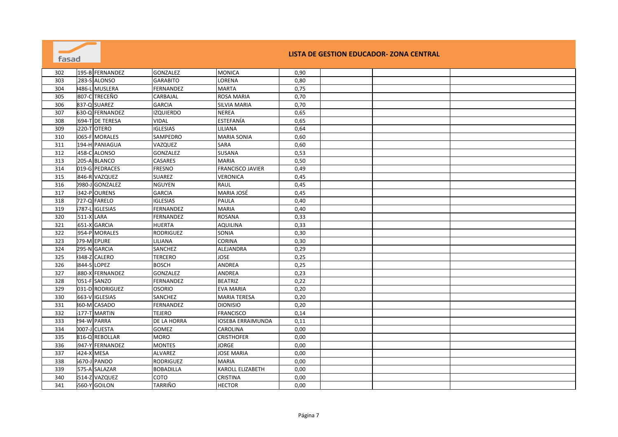| fasad |                     |                    |                          |      | LISTA DE GESTION EDUCADOR- ZONA CENTRAL |  |
|-------|---------------------|--------------------|--------------------------|------|-----------------------------------------|--|
| 302   | 195-B FERNANDEZ     | <b>GONZALEZ</b>    | <b>MONICA</b>            | 0,90 |                                         |  |
| 303   | 283-S ALONSO        | <b>GARABITO</b>    | LORENA                   | 0,80 |                                         |  |
| 304   | 486-L MUSLERA       | FERNANDEZ          | <b>MARTA</b>             | 0,75 |                                         |  |
| 305   | 807-C TRECEÑO       | CARBAJAL           | <b>ROSA MARIA</b>        | 0,70 |                                         |  |
| 306   | 837-Q SUAREZ        | <b>GARCIA</b>      | <b>SILVIA MARIA</b>      | 0,70 |                                         |  |
| 307   | 630-Q FERNANDEZ     | <b>IZQUIERDO</b>   | <b>NEREA</b>             | 0,65 |                                         |  |
| 308   | 694-T DE TERESA     | <b>VIDAL</b>       | <b>ESTEFANÍA</b>         | 0,65 |                                         |  |
| 309   | 220-T OTERO         | <b>IGLESIAS</b>    | LILIANA                  | 0,64 |                                         |  |
| 310   | 065-F MORALES       | SAMPEDRO           | <b>MARIA SONIA</b>       | 0,60 |                                         |  |
| 311   | 194-H PANIAGUA      | VAZQUEZ            | <b>SARA</b>              | 0,60 |                                         |  |
| 312   | 458-C ALONSO        | <b>GONZALEZ</b>    | <b>SUSANA</b>            | 0,53 |                                         |  |
| 313   | 205-A BLANCO        | <b>CASARES</b>     | <b>MARIA</b>             | 0,50 |                                         |  |
| 314   | 019-G PEDRACES      | <b>FRESNO</b>      | <b>FRANCISCO JAVIER</b>  | 0,49 |                                         |  |
| 315   | 846-R VAZQUEZ       | <b>SUAREZ</b>      | <b>VERONICA</b>          | 0,45 |                                         |  |
| 316   | 0980-J GONZALEZ     | <b>NGUYEN</b>      | <b>RAUL</b>              | 0,45 |                                         |  |
| 317   | 342-POURENS         | <b>GARCIA</b>      | <b>MARIA JOSÉ</b>        | 0,45 |                                         |  |
| 318   | 727-Q FARELO        | <b>IGLESIAS</b>    | <b>PAULA</b>             | 0,40 |                                         |  |
| 319   | 787-L IGLESIAS      | <b>FERNANDEZ</b>   | <b>MARIA</b>             | 0,40 |                                         |  |
| 320   | 511-X LARA          | <b>FERNANDEZ</b>   | <b>ROSANA</b>            | 0,33 |                                         |  |
| 321   | 651-X GARCIA        | <b>HUERTA</b>      | <b>AQUILINA</b>          | 0,33 |                                         |  |
| 322   | 954-P MORALES       | <b>RODRIGUEZ</b>   | SONIA                    | 0,30 |                                         |  |
| 323   | 179-M EPURE         | LILIANA            | <b>CORINA</b>            | 0,30 |                                         |  |
| 324   | 295-N GARCIA        | SANCHEZ            | ALEJANDRA                | 0,29 |                                         |  |
| 325   | 348-Z CALERO        | <b>TERCERO</b>     | <b>JOSE</b>              | 0,25 |                                         |  |
| 326   | 844-S LOPEZ         | <b>BOSCH</b>       | <b>ANDREA</b>            | 0,25 |                                         |  |
| 327   | 880-X FERNANDEZ     | GONZALEZ           | <b>ANDREA</b>            | 0,23 |                                         |  |
| 328   | 051-F SANZO         | <b>FERNANDEZ</b>   | <b>BEATRIZ</b>           | 0,22 |                                         |  |
| 329   | 031-D RODRIGUEZ     | <b>OSORIO</b>      | <b>EVA MARIA</b>         | 0,20 |                                         |  |
| 330   | 663-V IGLESIAS      | SANCHEZ            | <b>MARIA TERESA</b>      | 0,20 |                                         |  |
| 331   | <b>860-M CASADO</b> | FERNANDEZ          | <b>DIONISIO</b>          | 0,20 |                                         |  |
| 332   | 177-T MARTIN        | <b>TEJERO</b>      | <b>FRANCISCO</b>         | 0,14 |                                         |  |
| 333   | <b>294-W PARRA</b>  | <b>DE LA HORRA</b> | <b>IOSEBA ERRAIMUNDA</b> | 0,11 |                                         |  |
| 334   | 0007-J CUESTA       | <b>GOMEZ</b>       | <b>CAROLINA</b>          | 0,00 |                                         |  |
| 335   | 816-Q REBOLLAR      | <b>MORO</b>        | <b>CRISTHOFER</b>        | 0,00 |                                         |  |
| 336   | 947-Y FERNANDEZ     | <b>MONTES</b>      | <b>JORGE</b>             | 0,00 |                                         |  |
| 337   | 424-X MESA          | ALVAREZ            | <b>JOSE MARIA</b>        | 0,00 |                                         |  |
| 338   | 670-J PANDO         | <b>RODRIGUEZ</b>   | <b>MARIA</b>             | 0,00 |                                         |  |
| 339   | 575-A SALAZAR       | <b>BOBADILLA</b>   | <b>KAROLL ELIZABETH</b>  | 0,00 |                                         |  |
| 340   | 514-Z VAZQUEZ       | COTO               | <b>CRISTINA</b>          | 0,00 |                                         |  |
| 341   | 560-Y GOILON        | <b>TARRIÑO</b>     | <b>HECTOR</b>            | 0,00 |                                         |  |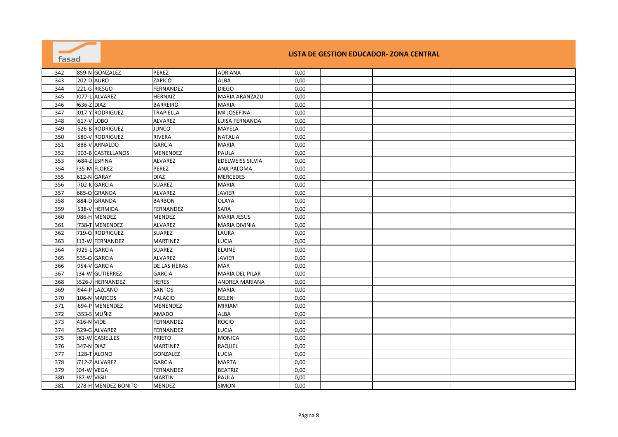| 859-N GONZALEZ<br>342<br>PEREZ<br><b>ADRIANA</b><br>0,00<br><b>202-D AURO</b><br>ZAPICO<br>343<br><b>ALBA</b><br>0,00<br>221-G RIESGO<br>FERNANDEZ<br><b>DIEGO</b><br>344<br>0,00<br>077-L ALVAREZ<br>MARIA ARANZAZU<br>345<br><b>HERNAIZ</b><br>0,00<br>636-Z DIAZ<br><b>BARREIRO</b><br>0,00<br>346<br><b>MARIA</b><br>017-Y RODRIGUEZ<br><b>TRAPIELLA</b><br>Mª JOSEFINA<br>0,00<br>347<br>617-VLOBO<br>LUISA FERNANDA<br>348<br>ALVAREZ<br>0,00<br>349<br>526-B RODRIGUEZ<br><b>JUNCO</b><br>MAYELA<br>0,00<br>350<br>580-V RODRIGUEZ<br>RIVERA<br><b>NATALIA</b><br>0,00<br>351<br>888-V ARNALDO<br><b>GARCIA</b><br><b>MARIA</b><br>0,00<br>352<br>903-B CASTELLANOS<br>PAULA<br>MENENDEZ<br>0,00<br>684-Z ESPINA<br>353<br>EDELWEISS SILVIA<br>0,00<br>ALVAREZ<br>354<br>735-M FLOREZ<br>PEREZ<br>ANA PALOMA<br>0,00<br><b>MERCEDES</b><br>355<br>612-N GARAY<br><b>DIAZ</b><br>0,00<br>702-K GARCIA<br><b>SUAREZ</b><br>356<br><b>MARIA</b><br>0,00<br>357<br>685-Q GRANDA<br>ALVAREZ<br>JAVIER<br>0,00<br>358<br>884-D GRANDA<br><b>BARBON</b><br><b>OLAYA</b><br>0,00<br>SARA<br>359<br>538-V HERMIDA<br>FERNANDEZ<br>0,00<br>986-H MENDEZ<br><b>MARIA JESUS</b><br>360<br>MENDEZ<br>0,00<br>361<br><b>ALVAREZ</b><br>738-T MENENDEZ<br><b>MARIA DIVINIA</b><br>0,00<br><b>SUAREZ</b><br>362<br>719-Q RODRIGUEZ<br>LAURA<br>0,00<br>363<br>313-W FERNANDEZ<br><b>MARTINEZ</b><br><b>LUCIA</b><br>0,00<br>3925-L<br><b>GARCIA</b><br>364<br><b>SUAREZ</b><br><b>ELAINE</b><br>0,00<br>365<br>535-Q GARCIA<br>ALVAREZ<br>JAVIER<br>0,00<br>366<br>954-V GARCIA<br>DE LAS HERAS<br>0,00<br>MAR<br><b>34-W GUTIERREZ</b><br>367<br><b>GARCIA</b><br><b>MARIA DEL PILAR</b><br>0,00<br>368<br>5526-J HERNANDEZ<br><b>HERES</b><br>ANDREA MARIANA<br>0,00<br>369<br>944-P LAZCANO<br>SANTOS<br><b>MARIA</b><br>0,00<br><b>BELEN</b><br>370<br>106-N MARCOS<br><b>PALACIO</b><br>0,00<br>694-P MENENDEZ<br><b>MIRIAM</b><br>371<br>MENENDEZ<br>0,00<br>372<br>353-S MUÑIZ<br><b>AMADO</b><br><b>ALBA</b><br>0,00<br>373<br>416-N VIDE<br><b>ROCIO</b><br>0,00<br>FERNANDEZ<br>529-G ALVAREZ<br>LUCIA<br>374<br>FERNANDEZ<br>0,00<br>375<br><b>81-W CASIELLES</b><br><b>PRIETO</b><br>MONICA<br>0,00<br>347-N DIAZ<br>376<br>RAQUEL<br>0,00<br>MARTINEZ<br>128-T ALONO<br>377<br><b>GONZALEZ</b><br>LUCIA<br>0,00<br>712-Z ALVAREZ<br><b>MARTA</b><br>378<br><b>GARCIA</b><br>0,00<br>379<br>004-W VEGA<br>FERNANDEZ<br><b>BEATRIZ</b><br>0,00<br>380<br>887-W VIGIL<br><b>MARTIN</b><br>PAULA<br>0,00<br>278-H MENDEZ-BONITO | fasad |  |        |       |      | LISTA DE GESTION EDUCADOR- ZONA CENTRAL |  |
|---------------------------------------------------------------------------------------------------------------------------------------------------------------------------------------------------------------------------------------------------------------------------------------------------------------------------------------------------------------------------------------------------------------------------------------------------------------------------------------------------------------------------------------------------------------------------------------------------------------------------------------------------------------------------------------------------------------------------------------------------------------------------------------------------------------------------------------------------------------------------------------------------------------------------------------------------------------------------------------------------------------------------------------------------------------------------------------------------------------------------------------------------------------------------------------------------------------------------------------------------------------------------------------------------------------------------------------------------------------------------------------------------------------------------------------------------------------------------------------------------------------------------------------------------------------------------------------------------------------------------------------------------------------------------------------------------------------------------------------------------------------------------------------------------------------------------------------------------------------------------------------------------------------------------------------------------------------------------------------------------------------------------------------------------------------------------------------------------------------------------------------------------------------------------------------------------------------------------------------------------------------------------------------------------------------------------------------------------------------------------------------------------------------------------------------------------------------------------------------------------------------------------------|-------|--|--------|-------|------|-----------------------------------------|--|
|                                                                                                                                                                                                                                                                                                                                                                                                                                                                                                                                                                                                                                                                                                                                                                                                                                                                                                                                                                                                                                                                                                                                                                                                                                                                                                                                                                                                                                                                                                                                                                                                                                                                                                                                                                                                                                                                                                                                                                                                                                                                                                                                                                                                                                                                                                                                                                                                                                                                                                                                 |       |  |        |       |      |                                         |  |
|                                                                                                                                                                                                                                                                                                                                                                                                                                                                                                                                                                                                                                                                                                                                                                                                                                                                                                                                                                                                                                                                                                                                                                                                                                                                                                                                                                                                                                                                                                                                                                                                                                                                                                                                                                                                                                                                                                                                                                                                                                                                                                                                                                                                                                                                                                                                                                                                                                                                                                                                 |       |  |        |       |      |                                         |  |
|                                                                                                                                                                                                                                                                                                                                                                                                                                                                                                                                                                                                                                                                                                                                                                                                                                                                                                                                                                                                                                                                                                                                                                                                                                                                                                                                                                                                                                                                                                                                                                                                                                                                                                                                                                                                                                                                                                                                                                                                                                                                                                                                                                                                                                                                                                                                                                                                                                                                                                                                 |       |  |        |       |      |                                         |  |
|                                                                                                                                                                                                                                                                                                                                                                                                                                                                                                                                                                                                                                                                                                                                                                                                                                                                                                                                                                                                                                                                                                                                                                                                                                                                                                                                                                                                                                                                                                                                                                                                                                                                                                                                                                                                                                                                                                                                                                                                                                                                                                                                                                                                                                                                                                                                                                                                                                                                                                                                 |       |  |        |       |      |                                         |  |
|                                                                                                                                                                                                                                                                                                                                                                                                                                                                                                                                                                                                                                                                                                                                                                                                                                                                                                                                                                                                                                                                                                                                                                                                                                                                                                                                                                                                                                                                                                                                                                                                                                                                                                                                                                                                                                                                                                                                                                                                                                                                                                                                                                                                                                                                                                                                                                                                                                                                                                                                 |       |  |        |       |      |                                         |  |
|                                                                                                                                                                                                                                                                                                                                                                                                                                                                                                                                                                                                                                                                                                                                                                                                                                                                                                                                                                                                                                                                                                                                                                                                                                                                                                                                                                                                                                                                                                                                                                                                                                                                                                                                                                                                                                                                                                                                                                                                                                                                                                                                                                                                                                                                                                                                                                                                                                                                                                                                 |       |  |        |       |      |                                         |  |
|                                                                                                                                                                                                                                                                                                                                                                                                                                                                                                                                                                                                                                                                                                                                                                                                                                                                                                                                                                                                                                                                                                                                                                                                                                                                                                                                                                                                                                                                                                                                                                                                                                                                                                                                                                                                                                                                                                                                                                                                                                                                                                                                                                                                                                                                                                                                                                                                                                                                                                                                 |       |  |        |       |      |                                         |  |
|                                                                                                                                                                                                                                                                                                                                                                                                                                                                                                                                                                                                                                                                                                                                                                                                                                                                                                                                                                                                                                                                                                                                                                                                                                                                                                                                                                                                                                                                                                                                                                                                                                                                                                                                                                                                                                                                                                                                                                                                                                                                                                                                                                                                                                                                                                                                                                                                                                                                                                                                 |       |  |        |       |      |                                         |  |
|                                                                                                                                                                                                                                                                                                                                                                                                                                                                                                                                                                                                                                                                                                                                                                                                                                                                                                                                                                                                                                                                                                                                                                                                                                                                                                                                                                                                                                                                                                                                                                                                                                                                                                                                                                                                                                                                                                                                                                                                                                                                                                                                                                                                                                                                                                                                                                                                                                                                                                                                 |       |  |        |       |      |                                         |  |
|                                                                                                                                                                                                                                                                                                                                                                                                                                                                                                                                                                                                                                                                                                                                                                                                                                                                                                                                                                                                                                                                                                                                                                                                                                                                                                                                                                                                                                                                                                                                                                                                                                                                                                                                                                                                                                                                                                                                                                                                                                                                                                                                                                                                                                                                                                                                                                                                                                                                                                                                 |       |  |        |       |      |                                         |  |
|                                                                                                                                                                                                                                                                                                                                                                                                                                                                                                                                                                                                                                                                                                                                                                                                                                                                                                                                                                                                                                                                                                                                                                                                                                                                                                                                                                                                                                                                                                                                                                                                                                                                                                                                                                                                                                                                                                                                                                                                                                                                                                                                                                                                                                                                                                                                                                                                                                                                                                                                 |       |  |        |       |      |                                         |  |
|                                                                                                                                                                                                                                                                                                                                                                                                                                                                                                                                                                                                                                                                                                                                                                                                                                                                                                                                                                                                                                                                                                                                                                                                                                                                                                                                                                                                                                                                                                                                                                                                                                                                                                                                                                                                                                                                                                                                                                                                                                                                                                                                                                                                                                                                                                                                                                                                                                                                                                                                 |       |  |        |       |      |                                         |  |
|                                                                                                                                                                                                                                                                                                                                                                                                                                                                                                                                                                                                                                                                                                                                                                                                                                                                                                                                                                                                                                                                                                                                                                                                                                                                                                                                                                                                                                                                                                                                                                                                                                                                                                                                                                                                                                                                                                                                                                                                                                                                                                                                                                                                                                                                                                                                                                                                                                                                                                                                 |       |  |        |       |      |                                         |  |
|                                                                                                                                                                                                                                                                                                                                                                                                                                                                                                                                                                                                                                                                                                                                                                                                                                                                                                                                                                                                                                                                                                                                                                                                                                                                                                                                                                                                                                                                                                                                                                                                                                                                                                                                                                                                                                                                                                                                                                                                                                                                                                                                                                                                                                                                                                                                                                                                                                                                                                                                 |       |  |        |       |      |                                         |  |
|                                                                                                                                                                                                                                                                                                                                                                                                                                                                                                                                                                                                                                                                                                                                                                                                                                                                                                                                                                                                                                                                                                                                                                                                                                                                                                                                                                                                                                                                                                                                                                                                                                                                                                                                                                                                                                                                                                                                                                                                                                                                                                                                                                                                                                                                                                                                                                                                                                                                                                                                 |       |  |        |       |      |                                         |  |
|                                                                                                                                                                                                                                                                                                                                                                                                                                                                                                                                                                                                                                                                                                                                                                                                                                                                                                                                                                                                                                                                                                                                                                                                                                                                                                                                                                                                                                                                                                                                                                                                                                                                                                                                                                                                                                                                                                                                                                                                                                                                                                                                                                                                                                                                                                                                                                                                                                                                                                                                 |       |  |        |       |      |                                         |  |
|                                                                                                                                                                                                                                                                                                                                                                                                                                                                                                                                                                                                                                                                                                                                                                                                                                                                                                                                                                                                                                                                                                                                                                                                                                                                                                                                                                                                                                                                                                                                                                                                                                                                                                                                                                                                                                                                                                                                                                                                                                                                                                                                                                                                                                                                                                                                                                                                                                                                                                                                 |       |  |        |       |      |                                         |  |
|                                                                                                                                                                                                                                                                                                                                                                                                                                                                                                                                                                                                                                                                                                                                                                                                                                                                                                                                                                                                                                                                                                                                                                                                                                                                                                                                                                                                                                                                                                                                                                                                                                                                                                                                                                                                                                                                                                                                                                                                                                                                                                                                                                                                                                                                                                                                                                                                                                                                                                                                 |       |  |        |       |      |                                         |  |
|                                                                                                                                                                                                                                                                                                                                                                                                                                                                                                                                                                                                                                                                                                                                                                                                                                                                                                                                                                                                                                                                                                                                                                                                                                                                                                                                                                                                                                                                                                                                                                                                                                                                                                                                                                                                                                                                                                                                                                                                                                                                                                                                                                                                                                                                                                                                                                                                                                                                                                                                 |       |  |        |       |      |                                         |  |
|                                                                                                                                                                                                                                                                                                                                                                                                                                                                                                                                                                                                                                                                                                                                                                                                                                                                                                                                                                                                                                                                                                                                                                                                                                                                                                                                                                                                                                                                                                                                                                                                                                                                                                                                                                                                                                                                                                                                                                                                                                                                                                                                                                                                                                                                                                                                                                                                                                                                                                                                 |       |  |        |       |      |                                         |  |
|                                                                                                                                                                                                                                                                                                                                                                                                                                                                                                                                                                                                                                                                                                                                                                                                                                                                                                                                                                                                                                                                                                                                                                                                                                                                                                                                                                                                                                                                                                                                                                                                                                                                                                                                                                                                                                                                                                                                                                                                                                                                                                                                                                                                                                                                                                                                                                                                                                                                                                                                 |       |  |        |       |      |                                         |  |
|                                                                                                                                                                                                                                                                                                                                                                                                                                                                                                                                                                                                                                                                                                                                                                                                                                                                                                                                                                                                                                                                                                                                                                                                                                                                                                                                                                                                                                                                                                                                                                                                                                                                                                                                                                                                                                                                                                                                                                                                                                                                                                                                                                                                                                                                                                                                                                                                                                                                                                                                 |       |  |        |       |      |                                         |  |
|                                                                                                                                                                                                                                                                                                                                                                                                                                                                                                                                                                                                                                                                                                                                                                                                                                                                                                                                                                                                                                                                                                                                                                                                                                                                                                                                                                                                                                                                                                                                                                                                                                                                                                                                                                                                                                                                                                                                                                                                                                                                                                                                                                                                                                                                                                                                                                                                                                                                                                                                 |       |  |        |       |      |                                         |  |
|                                                                                                                                                                                                                                                                                                                                                                                                                                                                                                                                                                                                                                                                                                                                                                                                                                                                                                                                                                                                                                                                                                                                                                                                                                                                                                                                                                                                                                                                                                                                                                                                                                                                                                                                                                                                                                                                                                                                                                                                                                                                                                                                                                                                                                                                                                                                                                                                                                                                                                                                 |       |  |        |       |      |                                         |  |
|                                                                                                                                                                                                                                                                                                                                                                                                                                                                                                                                                                                                                                                                                                                                                                                                                                                                                                                                                                                                                                                                                                                                                                                                                                                                                                                                                                                                                                                                                                                                                                                                                                                                                                                                                                                                                                                                                                                                                                                                                                                                                                                                                                                                                                                                                                                                                                                                                                                                                                                                 |       |  |        |       |      |                                         |  |
|                                                                                                                                                                                                                                                                                                                                                                                                                                                                                                                                                                                                                                                                                                                                                                                                                                                                                                                                                                                                                                                                                                                                                                                                                                                                                                                                                                                                                                                                                                                                                                                                                                                                                                                                                                                                                                                                                                                                                                                                                                                                                                                                                                                                                                                                                                                                                                                                                                                                                                                                 |       |  |        |       |      |                                         |  |
|                                                                                                                                                                                                                                                                                                                                                                                                                                                                                                                                                                                                                                                                                                                                                                                                                                                                                                                                                                                                                                                                                                                                                                                                                                                                                                                                                                                                                                                                                                                                                                                                                                                                                                                                                                                                                                                                                                                                                                                                                                                                                                                                                                                                                                                                                                                                                                                                                                                                                                                                 |       |  |        |       |      |                                         |  |
|                                                                                                                                                                                                                                                                                                                                                                                                                                                                                                                                                                                                                                                                                                                                                                                                                                                                                                                                                                                                                                                                                                                                                                                                                                                                                                                                                                                                                                                                                                                                                                                                                                                                                                                                                                                                                                                                                                                                                                                                                                                                                                                                                                                                                                                                                                                                                                                                                                                                                                                                 |       |  |        |       |      |                                         |  |
|                                                                                                                                                                                                                                                                                                                                                                                                                                                                                                                                                                                                                                                                                                                                                                                                                                                                                                                                                                                                                                                                                                                                                                                                                                                                                                                                                                                                                                                                                                                                                                                                                                                                                                                                                                                                                                                                                                                                                                                                                                                                                                                                                                                                                                                                                                                                                                                                                                                                                                                                 |       |  |        |       |      |                                         |  |
|                                                                                                                                                                                                                                                                                                                                                                                                                                                                                                                                                                                                                                                                                                                                                                                                                                                                                                                                                                                                                                                                                                                                                                                                                                                                                                                                                                                                                                                                                                                                                                                                                                                                                                                                                                                                                                                                                                                                                                                                                                                                                                                                                                                                                                                                                                                                                                                                                                                                                                                                 |       |  |        |       |      |                                         |  |
|                                                                                                                                                                                                                                                                                                                                                                                                                                                                                                                                                                                                                                                                                                                                                                                                                                                                                                                                                                                                                                                                                                                                                                                                                                                                                                                                                                                                                                                                                                                                                                                                                                                                                                                                                                                                                                                                                                                                                                                                                                                                                                                                                                                                                                                                                                                                                                                                                                                                                                                                 |       |  |        |       |      |                                         |  |
|                                                                                                                                                                                                                                                                                                                                                                                                                                                                                                                                                                                                                                                                                                                                                                                                                                                                                                                                                                                                                                                                                                                                                                                                                                                                                                                                                                                                                                                                                                                                                                                                                                                                                                                                                                                                                                                                                                                                                                                                                                                                                                                                                                                                                                                                                                                                                                                                                                                                                                                                 |       |  |        |       |      |                                         |  |
|                                                                                                                                                                                                                                                                                                                                                                                                                                                                                                                                                                                                                                                                                                                                                                                                                                                                                                                                                                                                                                                                                                                                                                                                                                                                                                                                                                                                                                                                                                                                                                                                                                                                                                                                                                                                                                                                                                                                                                                                                                                                                                                                                                                                                                                                                                                                                                                                                                                                                                                                 |       |  |        |       |      |                                         |  |
|                                                                                                                                                                                                                                                                                                                                                                                                                                                                                                                                                                                                                                                                                                                                                                                                                                                                                                                                                                                                                                                                                                                                                                                                                                                                                                                                                                                                                                                                                                                                                                                                                                                                                                                                                                                                                                                                                                                                                                                                                                                                                                                                                                                                                                                                                                                                                                                                                                                                                                                                 |       |  |        |       |      |                                         |  |
|                                                                                                                                                                                                                                                                                                                                                                                                                                                                                                                                                                                                                                                                                                                                                                                                                                                                                                                                                                                                                                                                                                                                                                                                                                                                                                                                                                                                                                                                                                                                                                                                                                                                                                                                                                                                                                                                                                                                                                                                                                                                                                                                                                                                                                                                                                                                                                                                                                                                                                                                 |       |  |        |       |      |                                         |  |
|                                                                                                                                                                                                                                                                                                                                                                                                                                                                                                                                                                                                                                                                                                                                                                                                                                                                                                                                                                                                                                                                                                                                                                                                                                                                                                                                                                                                                                                                                                                                                                                                                                                                                                                                                                                                                                                                                                                                                                                                                                                                                                                                                                                                                                                                                                                                                                                                                                                                                                                                 |       |  |        |       |      |                                         |  |
|                                                                                                                                                                                                                                                                                                                                                                                                                                                                                                                                                                                                                                                                                                                                                                                                                                                                                                                                                                                                                                                                                                                                                                                                                                                                                                                                                                                                                                                                                                                                                                                                                                                                                                                                                                                                                                                                                                                                                                                                                                                                                                                                                                                                                                                                                                                                                                                                                                                                                                                                 |       |  |        |       |      |                                         |  |
|                                                                                                                                                                                                                                                                                                                                                                                                                                                                                                                                                                                                                                                                                                                                                                                                                                                                                                                                                                                                                                                                                                                                                                                                                                                                                                                                                                                                                                                                                                                                                                                                                                                                                                                                                                                                                                                                                                                                                                                                                                                                                                                                                                                                                                                                                                                                                                                                                                                                                                                                 |       |  |        |       |      |                                         |  |
|                                                                                                                                                                                                                                                                                                                                                                                                                                                                                                                                                                                                                                                                                                                                                                                                                                                                                                                                                                                                                                                                                                                                                                                                                                                                                                                                                                                                                                                                                                                                                                                                                                                                                                                                                                                                                                                                                                                                                                                                                                                                                                                                                                                                                                                                                                                                                                                                                                                                                                                                 |       |  |        |       |      |                                         |  |
|                                                                                                                                                                                                                                                                                                                                                                                                                                                                                                                                                                                                                                                                                                                                                                                                                                                                                                                                                                                                                                                                                                                                                                                                                                                                                                                                                                                                                                                                                                                                                                                                                                                                                                                                                                                                                                                                                                                                                                                                                                                                                                                                                                                                                                                                                                                                                                                                                                                                                                                                 |       |  |        |       |      |                                         |  |
|                                                                                                                                                                                                                                                                                                                                                                                                                                                                                                                                                                                                                                                                                                                                                                                                                                                                                                                                                                                                                                                                                                                                                                                                                                                                                                                                                                                                                                                                                                                                                                                                                                                                                                                                                                                                                                                                                                                                                                                                                                                                                                                                                                                                                                                                                                                                                                                                                                                                                                                                 | 381   |  | MENDEZ | SIMON | 0,00 |                                         |  |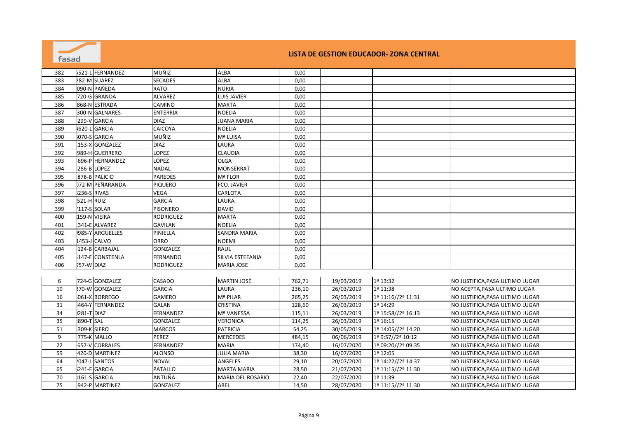| fasad |                                |                  |                          |        |            | LISTA DE GESTION EDUCADOR- ZONA CENTRAL |                                 |
|-------|--------------------------------|------------------|--------------------------|--------|------------|-----------------------------------------|---------------------------------|
| 382   | 521-L FERNANDEZ                | MUÑIZ            | <b>ALBA</b>              | 0,00   |            |                                         |                                 |
| 383   | 282-M SUAREZ                   | <b>SECADES</b>   | <b>ALBA</b>              | 0,00   |            |                                         |                                 |
| 384   | 090-N PAÑEDA                   | <b>RATO</b>      | <b>NURIA</b>             | 0,00   |            |                                         |                                 |
| 385   | 720-G GRANDA                   | ALVAREZ          | LUIS JAVIER              | 0,00   |            |                                         |                                 |
| 386   | 868-N ESTRADA                  | CAMINO           | <b>MARTA</b>             | 0,00   |            |                                         |                                 |
| 387   | 300-N GALNARES                 | <b>ENTERRIA</b>  | <b>NOELIA</b>            | 0,00   |            |                                         |                                 |
| 388   | 299-V GARCIA                   | <b>DIAZ</b>      | <b>JUANA MARIA</b>       | 0,00   |            |                                         |                                 |
| 389   | <b>GARCIA</b><br><b>1620-L</b> | CAICOYA          | <b>NOELIA</b>            | 0,00   |            |                                         |                                 |
| 390   | 070-S GARCIA                   | MUÑIZ            | Mª LUISA                 | 0,00   |            |                                         |                                 |
| 391   | $153-X$<br><b>GONZALEZ</b>     | <b>DIAZ</b>      | LAURA                    | 0,00   |            |                                         |                                 |
| 392   | 989-H GUERRERO                 | LOPEZ            | <b>CLAUDIA</b>           | 0,00   |            |                                         |                                 |
| 393   | 696-PHERNANDEZ                 | LÓPEZ            | <b>OLGA</b>              | 0,00   |            |                                         |                                 |
| 394   | 286-B LOPEZ                    | <b>NADAL</b>     | <b>MONSERRAT</b>         | 0,00   |            |                                         |                                 |
| 395   | 878-B PALICIO                  | <b>PAREDES</b>   | Mª FLOR                  | 0,00   |            |                                         |                                 |
| 396   | 72-M PEÑARANDA                 | <b>PIQUERO</b>   | FCO. JAVIER              | 0,00   |            |                                         |                                 |
| 397   | 236-S RIVAS                    | <b>VEGA</b>      | CARLOTA                  | 0,00   |            |                                         |                                 |
| 398   | 521-H RUIZ                     | <b>GARCIA</b>    | LAURA                    | 0,00   |            |                                         |                                 |
| 399   | 117-S SOLAR                    | <b>PISONERO</b>  | <b>DAVID</b>             | 0,00   |            |                                         |                                 |
| 400   | 159-N VIEIRA                   | <b>RODRIGUEZ</b> | <b>MARTA</b>             | 0,00   |            |                                         |                                 |
| 401   | 341-E ALVAREZ                  | <b>GAVILAN</b>   | <b>NOELIA</b>            | 0,00   |            |                                         |                                 |
| 402   | 985-Y ARGUELLES                | PINIELLA         | <b>SANDRA MARIA</b>      | 0,00   |            |                                         |                                 |
| 403   | L453-J CALVO                   | ORRO             | <b>NOEMI</b>             | 0,00   |            |                                         |                                 |
| 404   | 124-B CARBAJAL                 | GONZALEZ         | <b>RAUL</b>              | 0,00   |            |                                         |                                 |
| 405   | 147-E CONSTENLA                | <b>FERNANDO</b>  | SILVIA ESTEFANIA         | 0,00   |            |                                         |                                 |
| 406   | 357-W DIAZ                     | <b>RODRIGUEZ</b> | <b>MARIA JOSE</b>        | 0,00   |            |                                         |                                 |
|       |                                |                  |                          |        |            |                                         |                                 |
| 6     | 724-G GONZALEZ                 | CASADO           | <b>MARTIN JOSÉ</b>       | 762,71 | 19/03/2019 | 1ª 13:32                                | NO JUSTIFICA,PASA ULTIMO LUGAR  |
| 19    | 270-W GONZALEZ                 | <b>GARCIA</b>    | LAURA                    | 236,10 | 26/03/2019 | 1ª 11:38                                | NO ACEPTA, PASA ULTIMO LUGAR    |
| 16    | 061-X BORREGO                  | <b>GAMERO</b>    | Mª PILAR                 | 265,25 | 26/03/2019 | 1ª 11:16//2ª 11:31                      | NO JUSTIFICA, PASA ULTIMO LUGAR |
| 31    | 464-Y FERNANDEZ                | <b>GALAN</b>     | <b>CRISTINA</b>          | 128,60 | 26/03/2019 | 1ª 14:29                                | NO JUSTIFICA, PASA ULTIMO LUGAR |
| 34    | 281-T DIAZ                     | FERNANDEZ        | Mª VANESSA               | 115,11 | 26/03/2019 | 1ª 15:58//2ª 16:13                      | NO JUSTIFICA, PASA ULTIMO LUGAR |
| 35    | 890-T SAL                      | GONZALEZ         | <b>VERONICA</b>          | 114,25 | 26/03/2019 | 1ª 16:15                                | NO JUSTIFICA, PASA ULTIMO LUGAR |
| 51    | 309-K SIERO                    | <b>MARCOS</b>    | <b>PATRICIA</b>          | 54,25  | 30/05/2019 | 1ª 14:05//2ª 14:20                      | NO JUSTIFICA, PASA ULTIMO LUGAR |
| 9     | 775-K MALLO                    | PEREZ            | <b>MERCEDES</b>          | 484,15 | 06/06/2019 | 1ª 9:57//2ª 10:12                       | NO JUSTIFICA, PASA ULTIMO LUGAR |
| 22    | 657-V CORRALES                 | <b>FERNANDEZ</b> | <b>MARIA</b>             | 174,40 | 16/07/2020 | 1ª 09:20//2ª 09:35                      | NO JUSTIFICA, PASA ULTIMO LUGAR |
| 59    | 420-D MARTINEZ                 | <b>ALONSO</b>    | <b>JULIA MARIA</b>       | 38,30  | 16/07/2020 | 1ª 12:05                                | NO JUSTIFICA, PASA ULTIMO LUGAR |
| 64    | <b>SANTOS</b><br>2047-L        | <b>NOVAL</b>     | <b>ANGELES</b>           | 29,10  | 20/07/2020 | 1ª 14:22//2ª 14:37                      | NO JUSTIFICA, PASA ULTIMO LUGAR |
| 65    | 241-F GARCIA                   | <b>PATALLO</b>   | <b>MARTA MARIA</b>       | 28,50  | 21/07/2020 | 1ª 11:15//2ª 11:30                      | NO JUSTIFICA, PASA ULTIMO LUGAR |
| 70    | 161-S GARCIA                   | ANTUÑA           | <b>MARIA DEL ROSARIO</b> | 22,40  | 22/07/2020 | 1ª 11:39                                | NO JUSTIFICA, PASA ULTIMO LUGAR |
| 75    | 942-P MARTINEZ                 | GONZALEZ         | ABEL                     | 14,50  | 28/07/2020 | 1ª 11:15//2ª 11:30                      | NO JUSTIFICA, PASA ULTIMO LUGAR |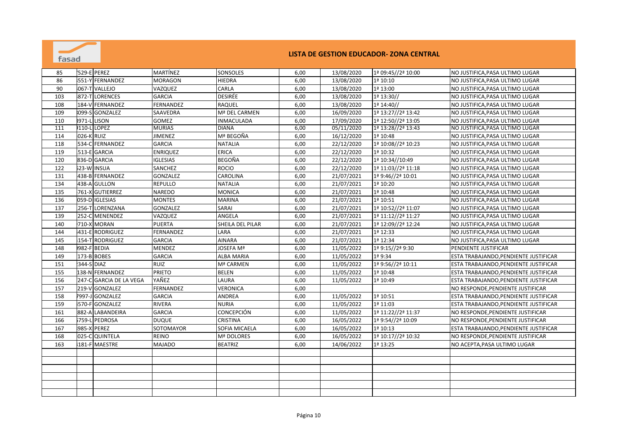

| 85  |            | '529-E PEREZ            | <b>MARTÍNEZ</b>  | SONSOLES          | 6,00 | 13/08/2020 | 1ª 09:45//2ª 10:00 | NO JUSTIFICA, PASA ULTIMO LUGAR       |
|-----|------------|-------------------------|------------------|-------------------|------|------------|--------------------|---------------------------------------|
| 86  |            | 551-Y FERNANDEZ         | <b>MORAGON</b>   | <b>HIEDRA</b>     | 6,00 | 13/08/2020 | 1ª 10:10           | NO JUSTIFICA, PASA ULTIMO LUGAR       |
| 90  |            | 067-T VALLEJO           | VAZQUEZ          | CARLA             | 6,00 | 13/08/2020 | 1ª 13:00           | NO JUSTIFICA, PASA ULTIMO LUGAR       |
| 103 |            | 872-T LORENCES          | <b>GARCIA</b>    | DESIRÉE           | 6,00 | 13/08/2020 | 1ª 13:30//         | NO JUSTIFICA, PASA ULTIMO LUGAR       |
| 108 |            | 184-V FERNANDEZ         | <b>FERNANDEZ</b> | <b>RAQUEL</b>     | 6,00 | 13/08/2020 | 1ª 14:40//         | NO JUSTIFICA, PASA ULTIMO LUGAR       |
| 109 |            | 099-S GONZALEZ          | SAAVEDRA         | Mª DEL CARMEN     | 6,00 | 16/09/2020 | 1ª 13:27//2ª 13:42 | NO JUSTIFICA, PASA ULTIMO LUGAR       |
| 110 |            | <b>8971-L LISON</b>     | <b>GOMEZ</b>     | <b>INMACULADA</b> | 6,00 | 17/09/2020 | 1ª 12:50//2ª 13:05 | NO JUSTIFICA, PASA ULTIMO LUGAR       |
| 111 |            | 110-L LOPEZ             | <b>MURIAS</b>    | <b>DIANA</b>      | 6,00 | 05/11/2020 | 1ª 13:28//2ª 13:43 | NO JUSTIFICA, PASA ULTIMO LUGAR       |
| 114 | 026-K RUIZ |                         | <b>JIMENEZ</b>   | Mª BEGOÑA         | 6,00 | 16/12/2020 | 1ª 10:48           | NO JUSTIFICA, PASA ULTIMO LUGAR       |
| 118 |            | 534-C FERNANDEZ         | <b>GARCIA</b>    | <b>NATALIA</b>    | 6,00 | 22/12/2020 | 1ª 10:08//2ª 10:23 | NO JUSTIFICA, PASA ULTIMO LUGAR       |
| 119 |            | 513-E GARCIA            | <b>ENRIQUEZ</b>  | <b>ERICA</b>      | 6,00 | 22/12/2020 | 1ª 10:32           | NO JUSTIFICA, PASA ULTIMO LUGAR       |
| 120 |            | 836-D GARCIA            | <b>IGLESIAS</b>  | <b>BEGOÑA</b>     | 6,00 | 22/12/2020 | 1ª 10:34//10:49    | NO JUSTIFICA, PASA ULTIMO LUGAR       |
| 122 |            | 523-W INSUA             | SANCHEZ          | <b>ROCIO</b>      | 6,00 | 22/12/2020 | 1ª 11:03//2ª 11:18 | NO JUSTIFICA, PASA ULTIMO LUGAR       |
| 131 |            | 438-B FERNANDEZ         | <b>GONZALEZ</b>  | CAROLINA          | 6,00 | 21/07/2021 | 1ª 9:46//2ª 10:01  | NO JUSTIFICA, PASA ULTIMO LUGAR       |
| 134 |            | 438-A GULLON            | <b>REPULLO</b>   | <b>NATALIA</b>    | 6,00 | 21/07/2021 | 1ª 10:20           | NO JUSTIFICA, PASA ULTIMO LUGAR       |
| 135 |            | 761-X GUTIERREZ         | <b>NAREDO</b>    | <b>MONICA</b>     | 6,00 | 21/07/2021 | 1ª 10:48           | NO JUSTIFICA, PASA ULTIMO LUGAR       |
| 136 |            | 059-D IGLESIAS          | <b>MONTES</b>    | <b>MARINA</b>     | 6,00 | 21/07/2021 | 1ª 10:51           | NO JUSTIFICA, PASA ULTIMO LUGAR       |
| 137 |            | 256-T LORENZANA         | GONZALEZ         | SARAI             | 6,00 | 21/07/2021 | 1ª 10:52//2ª 11:07 | NO JUSTIFICA, PASA ULTIMO LUGAR       |
| 139 |            | 252-C MENENDEZ          | VAZQUEZ          | ANGELA            | 6,00 | 21/07/2021 | 1ª 11:12//2ª 11:27 | NO JUSTIFICA, PASA ULTIMO LUGAR       |
| 140 |            | 710-X MORAN             | <b>PUERTA</b>    | SHEILA DEL PILAR  | 6,00 | 21/07/2021 | 1ª 12:09//2ª 12:24 | NO JUSTIFICA, PASA ULTIMO LUGAR       |
| 144 |            | 431-E RODRIGUEZ         | FERNANDEZ        | LARA              | 6,00 | 21/07/2021 | 1ª 12:33           | NO JUSTIFICA, PASA ULTIMO LUGAR       |
| 145 |            | 154-T RODRIGUEZ         | <b>GARCIA</b>    | <b>AINARA</b>     | 6,00 | 21/07/2021 | 1ª 12:34           | NO JUSTIFICA, PASA ULTIMO LUGAR       |
| 148 |            | 982-F BEDIA             | <b>MENDEZ</b>    | <b>JOSEFA Mª</b>  | 6,00 | 11/05/2022 | 1ª 9:15//2ª 9:30   | PENDIENTE JUSTIFICAR                  |
| 149 |            | 173-B BOBES             | <b>GARCIA</b>    | <b>ALBA MARIA</b> | 6,00 | 11/05/2022 | 1ª 9:34            | ESTA TRABAJANDO, PENDIENTE JUSTIFICAR |
| 151 | 344-S DIAZ |                         | <b>RUIZ</b>      | Mª CARMEN         | 6,00 | 11/05/2022 | 1ª 9:56//2ª 10:11  | ESTA TRABAJANDO, PENDIENTE JUSTIFICAR |
| 155 |            | 138-N FERNANDEZ         | <b>PRIETO</b>    | <b>BELEN</b>      | 6,00 | 11/05/2022 | 1ª 10:48           | ESTA TRABAJANDO, PENDIENTE JUSTIFICAR |
| 156 |            | 247-C GARCIA DE LA VEGA | YAÑEZ            | LAURA             | 6,00 | 11/05/2022 | 1ª 10:49           | ESTA TRABAJANDO, PENDIENTE JUSTIFICAR |
| 157 |            | 219-V GONZALEZ          | <b>FERNANDEZ</b> | <b>VERONICA</b>   | 6,00 |            |                    | NO RESPONDE, PENDIENTE JUSTIFICAR     |
| 158 |            | 7997-J GONZALEZ         | <b>GARCIA</b>    | ANDREA            | 6,00 | 11/05/2022 | 1ª 10:51           | ESTA TRABAJANDO, PENDIENTE JUSTIFICAR |
| 159 |            | 570-F GONZALEZ          | <b>RIVERA</b>    | <b>NURIA</b>      | 6,00 | 11/05/2022 | 1ª 11:03           | ESTA TRABAJANDO, PENDIENTE JUSTIFICAR |
| 161 |            | 882-A LABANDEIRA        | <b>GARCIA</b>    | CONCEPCIÓN        | 6,00 | 11/05/2022 | 1ª 11:22//2ª 11:37 | NO RESPONDE, PENDIENTE JUSTIFICAR     |
| 166 |            | 5759-L PEDROSA          | <b>DUQUE</b>     | <b>CRISTINA</b>   | 6,00 | 16/05/2022 | 1ª 9:54//2ª 10:09  | NO RESPONDE, PENDIENTE JUSTIFICAR     |
| 167 |            | 985-X PEREZ             | SOTOMAYOR        | SOFIA MICAELA     | 6,00 | 16/05/2022 | 1ª 10:13           | ESTA TRABAJANDO, PENDIENTE JUSTIFICAR |
| 168 |            | 025-C QUINTELA          | REINO            | Mª DOLORES        | 6,00 | 16/05/2022 | 1ª 10:17//2ª 10:32 | NO RESPONDE, PENDIENTE JUSTIFICAR     |
| 163 |            | 181-F MAESTRE           | <b>MAJADO</b>    | <b>BEATRIZ</b>    | 6,00 | 14/06/2022 | 1ª 13:25           | NO ACEPTA, PASA ULTIMO LUGAR          |
|     |            |                         |                  |                   |      |            |                    |                                       |
|     |            |                         |                  |                   |      |            |                    |                                       |
|     |            |                         |                  |                   |      |            |                    |                                       |
|     |            |                         |                  |                   |      |            |                    |                                       |
|     |            |                         |                  |                   |      |            |                    |                                       |
|     |            |                         |                  |                   |      |            |                    |                                       |